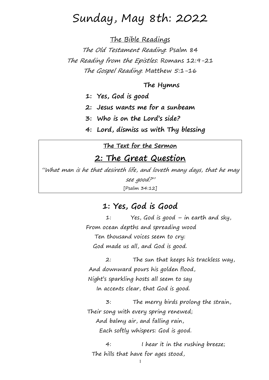## Sunday, May 8th: 2022

The Bible Readings

The Old Testament Reading: Psalm 84 The Reading from the Epistles: Romans 12:9-21 The Gospel Reading: Matthew 5:1-16

#### **The Hymns**

- **1: Yes, God is good**
- **2: Jesus wants me for a sunbeam**
- **3: Who is on the Lord's side?**
- **4: Lord, dismiss us with Thy blessing**

**The Text for the Sermon**

## **2: The Great Question**

"What man is he that desireth life, and loveth many days, that he may see good?" [Psalm 34:12]

### **1: Yes, God is Good**

1: Yes, God is good – in earth and sky, From ocean depths and spreading wood Ten thousand voices seem to cry: God made us all, and God is good.

2: The sun that keeps his trackless way, And downward pours his golden flood, Night's sparkling hosts all seem to say In accents clear, that God is good.

3: The merry birds prolong the strain, Their song with every spring renewed; And balmy air, and falling rain, Each softly whispers: God is good.

4: I hear it in the rushing breeze; The hills that have for ages stood,

1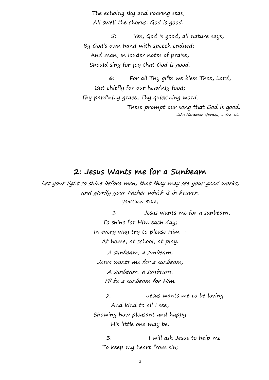The echoing sky and roaring seas, All swell the chorus: God is good.

5: Yes, God is good, all nature says, By God's own hand with speech endued; And man, in louder notes of praise, Should sing for joy that God is good.

6: For all Thy gifts we bless Thee, Lord, But chiefly for our heav'nly food; Thy pard'ning grace, Thy quick'ning word, These prompt our song that God is good. John Hampton Gurney, 1802-62

## **2: Jesus Wants me for a Sunbeam**

Let your light so shine before men, that they may see your good works, and glorify your Father which is in heaven. [Matthew 5:16]

> 1: Jesus wants me for a sunbeam, To shine for Him each day; In every way try to please Him – At home, at school, at play. A sunbeam, <sup>a</sup> sunbeam,

Jesus wants me for <sup>a</sup> sunbeam; A sunbeam, <sup>a</sup> sunbeam, I'll be <sup>a</sup> sunbeam for Him.

2: Jesus wants me to be loving And kind to all I see, Showing how pleasant and happy His little one may be.

3: I will ask Jesus to help me To keep my heart from sin;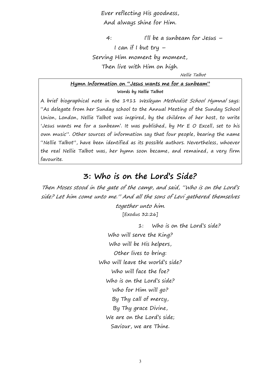Ever reflecting His goodness, And always shine for Him.

4: I'll be a sunbeam for Jesus – I can if I but try  $-$ 

Serving Him moment by moment,

Then live with Him on high.

Nellie Talbot

#### **Hymn Information on "Jesus wants me for a sunbeam" Words by Nellie Talbot**

A brief biographical note in the 1911 Wesleyan Methodist School Hymnal says: "As delegate from her Sunday school to the Annual Meeting of the Sunday School Union, London, Nellie Talbot was inspired, by the children of her host, to write 'Jesus wants me for a sunbeam'. It was published, by Mr E O Excell, set to his own music". Other sources of information say that four people, bearing the name "Nellie Talbot", have been identified as its possible authors. Nevertheless, whoever the real Nellie Talbot was, her hymn soon became, and remained, a very firm favourite.

## **3: Who is on the Lord's Side?**

Then Moses stood in the gate of the camp, and said, "Who is on the Lord's side? Let him come unto me." And all the sons of Levi gathered themselves

> together unto him. [Exodus 32:26]

> > 1: Who is on the Lord's side?

Who will serve the King? Who will be His helpers, Other lives to bring: Who will leave the world's side? Who will face the foe? Who is on the Lord's side? Who for Him will go? By Thy call of mercy, By Thy grace Divine, We are on the Lord's side; Saviour, we are Thine.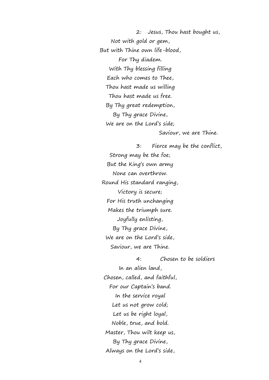2: Jesus, Thou hast bought us, Not with gold or gem, But with Thine own life-blood, For Thy diadem. With Thy blessing filling Each who comes to Thee, Thou hast made us willing Thou hast made us free. By Thy great redemption, By Thy grace Divine, We are on the Lord's side; Saviour, we are Thine.

3: Fierce may be the conflict, Strong may be the foe; But the King's own army None can overthrow. Round His standard ranging, Victory is secure; For His truth unchanging Makes the triumph sure. Joyfully enlisting, By Thy grace Divine, We are on the Lord's side, Saviour, we are Thine.

In an alien land, Chosen, called, and faithful, For our Captain's band. In the service royal Let us not grow cold; Let us be right loyal, Noble, true, and bold. Master, Thou wilt keep us, By Thy grace Divine, Always on the Lord's side,

4: Chosen to be soldiers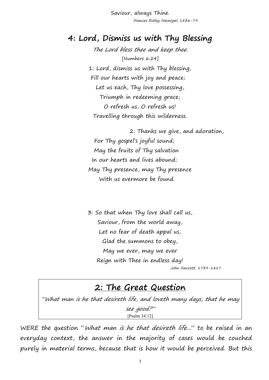Saviour, always Thine. Frances Ridley Havergal, 1836-79

## **4: Lord, Dismiss us with Thy Blessing**

The Lord bless thee and keep thee. [Numbers 6:24] 1: Lord, dismiss us with Thy blessing, Fill our hearts with joy and peace; Let us each, Thy love possessing, Triumph in redeeming grace; O refresh us, O refresh us! Travelling through this wilderness.

2: Thanks we give, and adoration, For Thy gospel's joyful sound; May the fruits of Thy salvation In our hearts and lives abound; May Thy presence, may Thy presence With us evermore be found.

3: So that when Thy love shall call us, Saviour, from the world away, Let no fear of death appal us, Glad the summons to obey, May we ever, may we ever Reign with Thee in endless day! John Fawcett, 1739-1817

# **2: The Great Question**

"What man is he that desireth life, and loveth many days, that he may see good?" [Psalm 34:12]

WERE the question "What man is he that desireth life..." to be raised in an everyday context, the answer in the majority of cases would be couched purely in material terms, because that is how it would be perceived. But this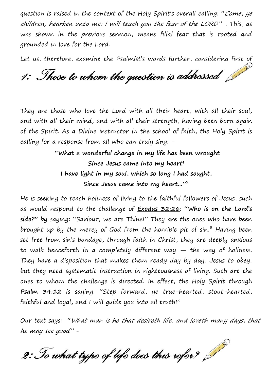question is raised in the context of the Holy Spirit's overall calling: "Come, ye children, hearken unto me: I will teach you the fear of the LORD". This, as was shown in the previous sermon, means filial fear that is rooted and grounded in love for the Lord.

Let us, therefore, examine the Psalmist's words further, considering first of

1: Those to whom the question is addressed

They are those who love the Lord with all their heart, with all their soul, and with all their mind, and with all their strength, having been born again of the Spirit. As a Divine instructor in the school of faith, the Holy Spirit is calling for a response from all who can truly sing: -

> **"What a wonderful change in my life has been wrought Since Jesus came into my heart! I have light in my soul, which so long I had sought, Since Jesus came into my heart…"**  $2 \left( \frac{1}{2} \right)$

He is seeking to teach holiness of living to the faithful followers of Jesus, such as would respond to the challenge of **Exodus 32:26**: **"Who is on the Lord's side?"** by saying: "Saviour, we are Thine!" They are the ones who have been brought up by the mercy of God from the horrible pit of  $sin^3$  Having been set free from sin's bondage, through faith in Christ, they are deeply anxious to walk henceforth in a completely different way  $-$  the way of holiness. They have a disposition that makes them ready day by day, Jesus to obey; but they need systematic instruction in righteousness of living. Such are the ones to whom the challenge is directed. In effect, the Holy Spirit through **Psalm 34:12** is saying: "Step forward, ye true-hearted, stout-hearted, faithful and loyal, and I will guide you into all truth!"

Our text says: "What man is he that desireth life, and loveth many days, that he may see good" –

2: To what type of life does this refer?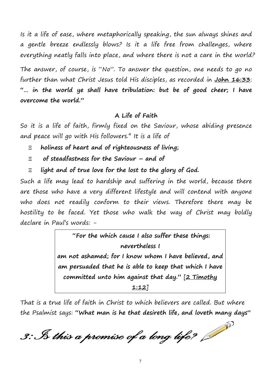Is it a life of ease, where metaphorically speaking, the sun always shines and a gentle breeze endlessly blows? Is it a life free from challenges, where everything neatly falls into place, and where there is not a care in the world?

The answer, of course, is "No". To answer the question, one needs to go no further than what Christ Jesus told His disciples, as recorded in **John 16:33**: **"… in the world ye shall have tribulation: but be of good cheer; I have overcome the world."**

### **A Life of Faith**

So it is a life of faith, firmly fixed on the Saviour, whose abiding presence and peace will go with His followers.<sup>4</sup> It is a life of

**holiness of heart and of righteousness of living;**

**of steadfastness for the Saviour – and of**

**light and of true love for the lost to the glory of God.**

Such a life may lead to hardship and suffering in the world, because there are those who have a very different lifestyle and will contend with anyone who does not readily conform to their views. Therefore there may be hostility to be faced. Yet those who walk the way of Christ may boldly declare in Paul's words: -

> **"For the which cause I also suffer these things: nevertheless I am not ashamed; for I know whom I havebelieved, and am persuaded that he is able to keep that which I have committed unto him against that day."** [**2 Timothy 1:12**]

That is a true life of faith in Christ to which believers are called. But where the Psalmist says: **"What man is he that desireth life, and loveth many days"**

3: Is this a promise of a long life?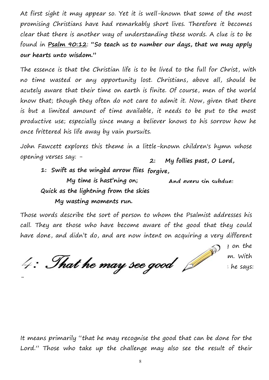At first sight it may appear so. Yet it is well-known that some of the most promising Christians have had remarkably short lives. Therefore it becomes clear that there is another way of understanding these words. A clue is to be found in **Psalm 90:12**: **"So teach us to number our days, that we may apply our hearts unto wisdom."**

The essence is that the Christian life is to be lived to the full for Christ, with no time wasted or any opportunity lost. Christians, above all, should be acutely aware that their time on earth is finite. Of course, men of the world know that; though they often do not care to admit it. Now, given that there is but a limited amount of time available, it needs to be put to the most productive use; especially since many a believer knows to his sorrow how he once frittered his life away by vain pursuits.

John Fawcett explores this theme in a little-known children's hymn whose opening verses say: -

**2: My folliespast, O Lord,**

**1: Swift as the wingèd arrow flies**

**My time is hast'ning on; Quick as the lightning from the skies My wasting moments run. forgive,And every sin subdue;**

Those words describe the sort of person to whom the Psalmist addresses his call. They are those who have become aware of the good that they could have done, and didn't do, and are now intent on acquiring a very different

 $\mathcal{S}$  is a ship with an analysis and if  $\mathcal{S}$  is a ship with  $\mathcal{S}$  $\sqrt{N}$   $\sqrt{N}$  $\tau$ . **I have the may see good**  $\beta$  the says: **-** *Contract of the contract* of the

It means primarily "that he may recognise the good that can be done for the Lord." Those who take up the challenge may also see the result of their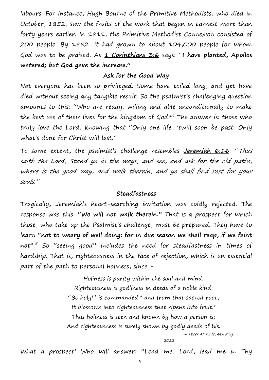labours. For instance, Hugh Bourne of the Primitive Methodists, who died in October, 1852, saw the fruits of the work that began in earnest more than forty years earlier. In 1811, the Primitive Methodist Connexion consisted of 200 people. By 1852, it had grown to about 104,000 people for whom God was to be praised. As **1 Corinthians 3:6** says: "**I have planted, Apollos watered; but God gave the increase."**

#### **Ask for the Good Way**

Not everyone has been so privileged. Some have toiled long, and yet have died without seeing any tangible result. So the psalmist's challenging question amounts to this: "Who are ready, willing and able unconditionally to make the best use of their lives for the kingdom of God?" The answer is: those who truly love the Lord, knowing that "Only one life, 'twill soon be past. Only what's done for Christ will last."

To some extent, the psalmist's challenge resembles **Jeremiah 6:16**: "Thus saith the Lord, Stand ye in the ways, and see, and ask for the old paths, where is the good way, and walk therein, and ye shall find rest for your souls."

#### **Steadfastness**

Tragically, Jeremiah's heart-searching invitation was coldly rejected. The response was this: **"We will not walk therein."** That is a prospect for which those, who take up the Psalmist's challenge, must be prepared. They have to learn **"not to weary of well doing: for in due season we shall reap, if we faint not"**.<sup>5</sup> So "seeing good" includes the need for steadfastness in times of hardship. That is, righteousness in the face of rejection, which is an essential part of the path to personal holiness, since -

> Holiness is purity within the soul and mind; Righteousness is godliness in deeds of a noble kind; "Be holy!" is commanded; $\epsilon$  and from that sacred root, It blossoms into righteousness that ripens into fruit.<sup>7</sup> Thus holiness is seen and known by how a person is; And righteousness is surely shown by godly deeds of his. © Peter Murcott, 4th May:

> > 2022

What a prospect! Who will answer: "Lead me, Lord, lead me in Thy